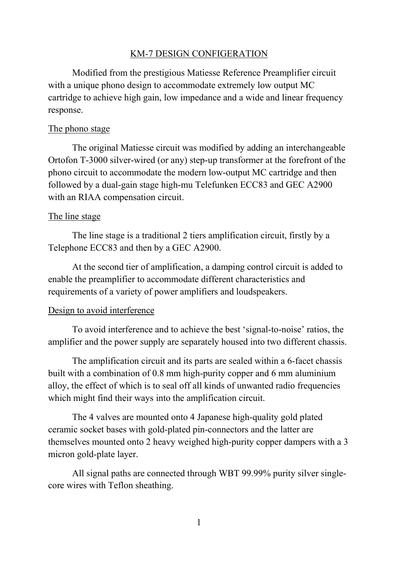### KM-7 DESIGN CONFIGERATION

Modified from the prestigious Matiesse Reference Preamplifier circuit with <sup>a</sup> unique phono design to accommodate extremely low output MC cartridge to achieve high gain, low impedance and <sup>a</sup> wide and linear frequency response.

#### The phono stage

The original Matiesse circuit was modified by adding an interchangeable Ortofon T-3000 silver-wired (or any) step-up transformer at the forefront of the phono circuit to accommodate the modern low-output MC cartridge and then followed by <sup>a</sup> dual-gain stage high-mu Telefunken ECC83 and GEC A2900 with an RIAA compensation circuit.

#### The line stage

The line stage is <sup>a</sup> traditional 2 tiers amplification circuit, firstly by <sup>a</sup> Telephone ECC83 and then by <sup>a</sup> GEC A2900.

At the second tier of amplification, <sup>a</sup> damping control circuit is added to enable the preamplifier to accommodate different characteristics and requirements of <sup>a</sup> variety of power amplifiers and loudspeakers.

#### Design to avoid interference

To avoid interference and to achieve the best 'signal-to-noise' ratios, the amplifier and the power supply are separately housed into two different chassis.

The amplification circuit and its parts are sealed within <sup>a</sup> 6-facet chassis built with a combination of 0.8 mm high-purity copper and 6 mm aluminium alloy, the effect of which is toseal off all kinds of unwanted radio frequencies which might find their ways into the amplification circuit.

The 4 valves are mounted onto 4 Japanese high-quality gold plated ceramic socket bases with gold-plated pin-connectors and the latter are themselves mounted onto 2 heavy weighed high-purity copper dampers with <sup>a</sup> 3 micron gold-plate layer.

All signal paths are connected through WBT 99.99% purity silver singlecore wires with Teflon sheathing.